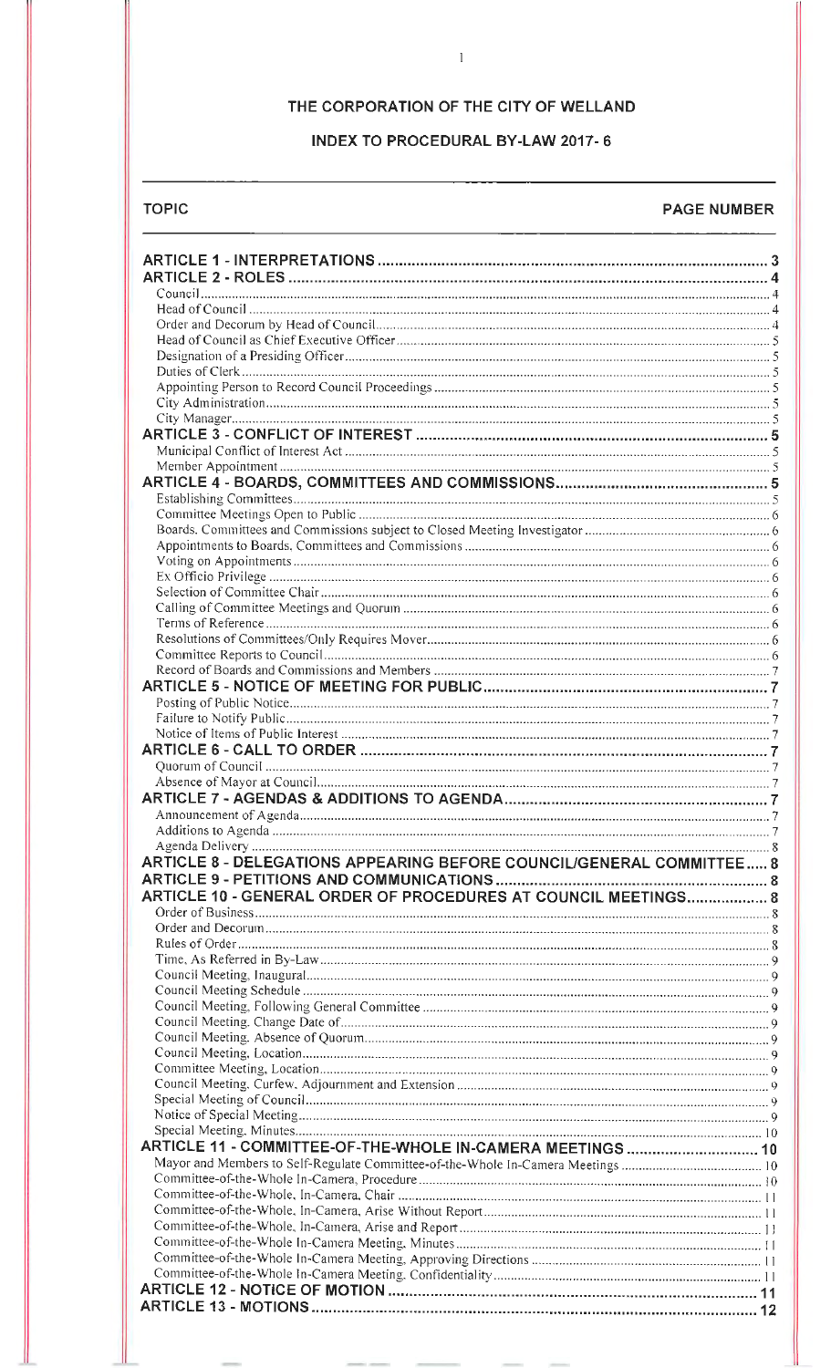## THE CORPORATION OF THE CITY OF WELLAND

 $\overline{1}$ 

## **INDEX TO PROCEDURAL BY-LAW 2017-6**

## **TOPIC**

#### **PAGE NUMBER**

| ARTICLE 8 - DELEGATIONS APPEARING BEFORE COUNCIL/GENERAL COMMITTEE 8 |  |
|----------------------------------------------------------------------|--|
|                                                                      |  |
| ARTICLE 10 - GENERAL ORDER OF PROCEDURES AT COUNCIL MEETINGS 8       |  |
|                                                                      |  |
|                                                                      |  |
|                                                                      |  |
|                                                                      |  |
|                                                                      |  |
|                                                                      |  |
|                                                                      |  |
|                                                                      |  |
|                                                                      |  |
|                                                                      |  |
|                                                                      |  |
|                                                                      |  |
|                                                                      |  |
|                                                                      |  |
| ARTICLE 11 - COMMITTEE-OF-THE-WHOLE IN-CAMERA MEETINGS  10           |  |
|                                                                      |  |
|                                                                      |  |
|                                                                      |  |
|                                                                      |  |
|                                                                      |  |
|                                                                      |  |
|                                                                      |  |
|                                                                      |  |
|                                                                      |  |
|                                                                      |  |
|                                                                      |  |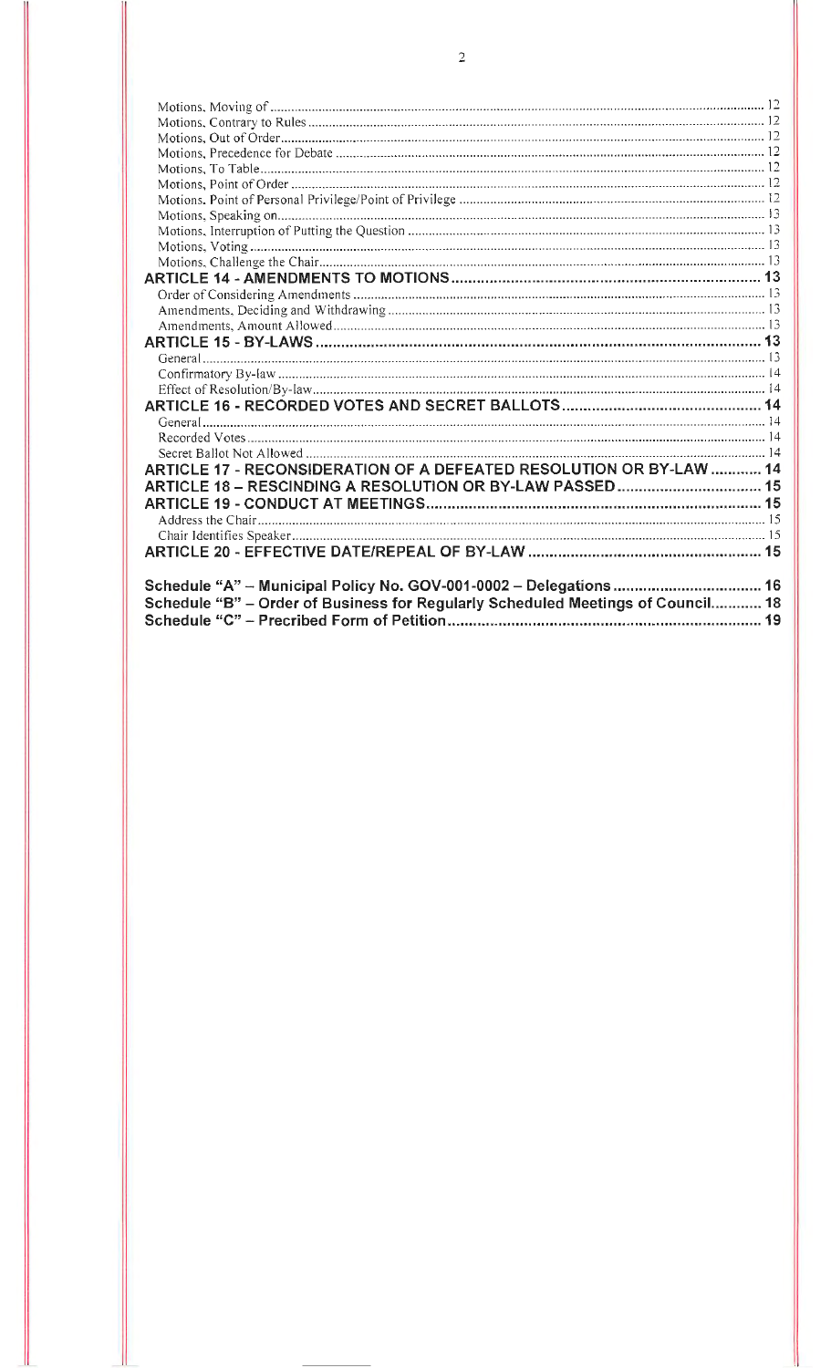| ARTICLE 17 - RECONSIDERATION OF A DEFEATED RESOLUTION OR BY-LAW  14             |  |
|---------------------------------------------------------------------------------|--|
| ARTICLE 18 - RESCINDING A RESOLUTION OR BY-LAW PASSED 15                        |  |
|                                                                                 |  |
|                                                                                 |  |
|                                                                                 |  |
|                                                                                 |  |
|                                                                                 |  |
|                                                                                 |  |
| Schedule "A" - Municipal Policy No. GOV-001-0002 - Delegations  16              |  |
| Schedule "B" - Order of Business for Regularly Scheduled Meetings of Council 18 |  |
|                                                                                 |  |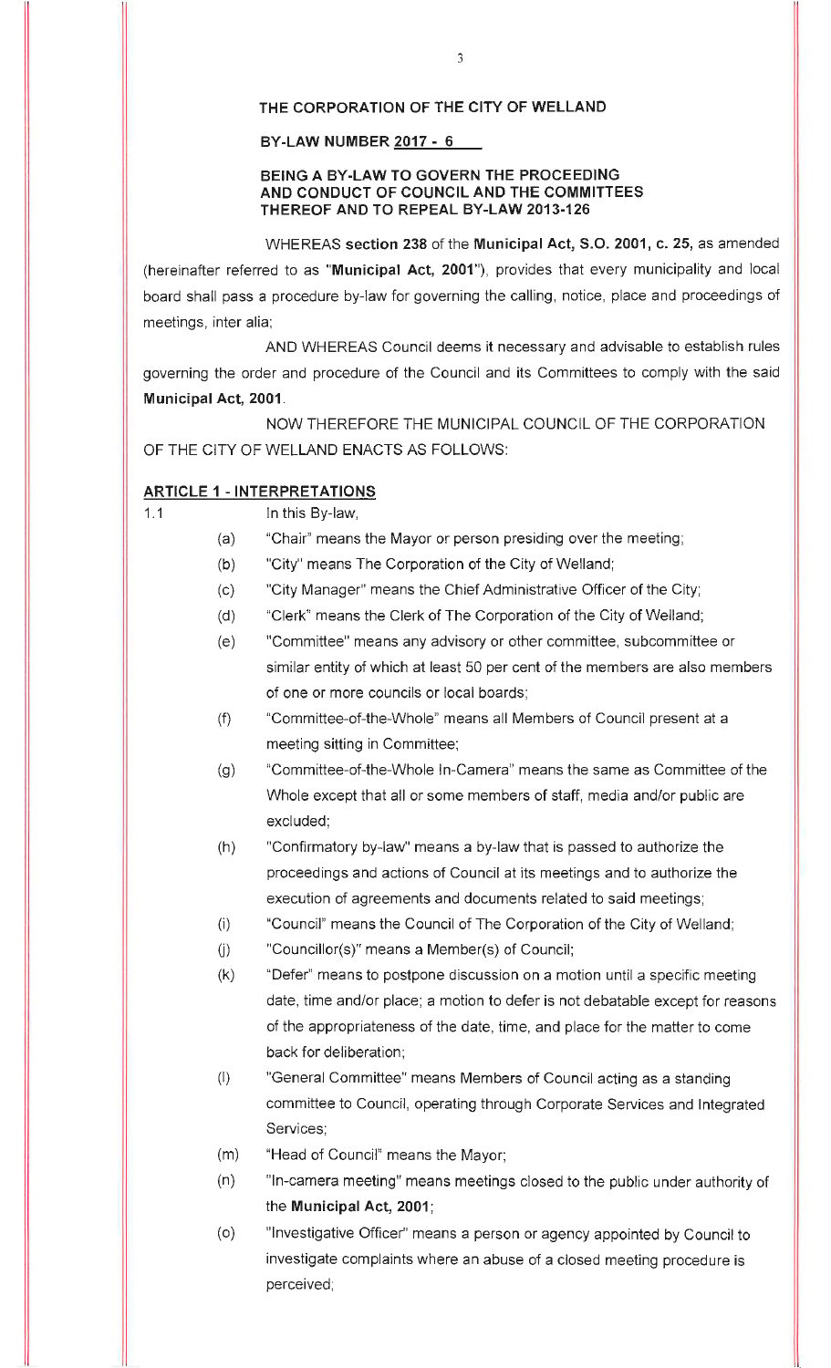#### **THE CORPORATION OF THE CITY OF WELLAND**

#### **BY-LAW NUMBER 2017** - **6**

#### **BEING A BY-LAW TO GOVERN THE PROCEEDING AND CONDUCT OF COUNCIL AND THE COMMITTEES THEREOF AND TO REPEAL BY-LAW 2013-126**

WHEREAS **section 238** of the **Municipal Act, S.O. 2001, c. 25,** as amended (hereinafter referred to as **"Municipal Act, 2001"),** provides that every municipality and local board shall pass a procedure by-law for governing the calling, notice, place and proceedings of meetings, inter alia;

AND WHEREAS Council deems it necessary and advisable to establish rules governing the order and procedure of the Council and its Committees to comply with the said **Municipal Act, 2001.** 

NOW THEREFORE THE MUNICIPAL COUNCIL OF THE CORPORATION OF THE CITY OF WELLAND ENACTS AS FOLLOWS:

#### **ARTICLE 1** - **INTERPRETATIONS**

# 1.1 **In this By-law,**

- (a) "Chair" means the Mayor or person presiding over the meeting;
- (b) "City" means The Corporation of the City of Welland;
- (c) "City Manager" means the Chief Administrative Officer of the City;
- (d) "Clerk" means the Clerk of The Corporation of the City of Welland;
- (e) "Committee" means any advisory or other committee, subcommittee or similar entity of which at least 50 per cent of the members are also members of one or more councils or local boards;
- (f) "Committee-of-the-Whole" means all Members of Council present at a meeting sitting in Committee;
- (g) "Committee-of-the-Whole In-Camera" means the same as Committee of the Whole except that all or some members of staff, media and/or public are excluded;
- (h) "Confirmatory by-law" means a by-law that is passed to authorize the proceedings and actions of Council at its meetings and to authorize the execution of agreements and documents related to said meetings;
- (i) "Council" means the Council of The Corporation of the City of Welland;
- $U($ ) "Councillor $(S)$ " means a Member $(S)$  of Council;
- (k) "Defer" means to postpone discussion on a motion until a specific meeting date, time and/or place; a motion to defer is not debatable except for reasons of the appropriateness of the date, time, and place for the matter to come back for deliberation;
- (I) "General Committee" means Members of Council acting as a standing committee to Council, operating through Corporate Services and Integrated Services;
- (m) "Head of Council" means the Mayor;
- (n) "In-camera meeting" means meetings closed to the public under authority of the **Municipal Act, 2001;**
- (o) "Investigative Officer" means a person or agency appointed by Council to investigate complaints where an abuse of a closed meeting procedure is perceived;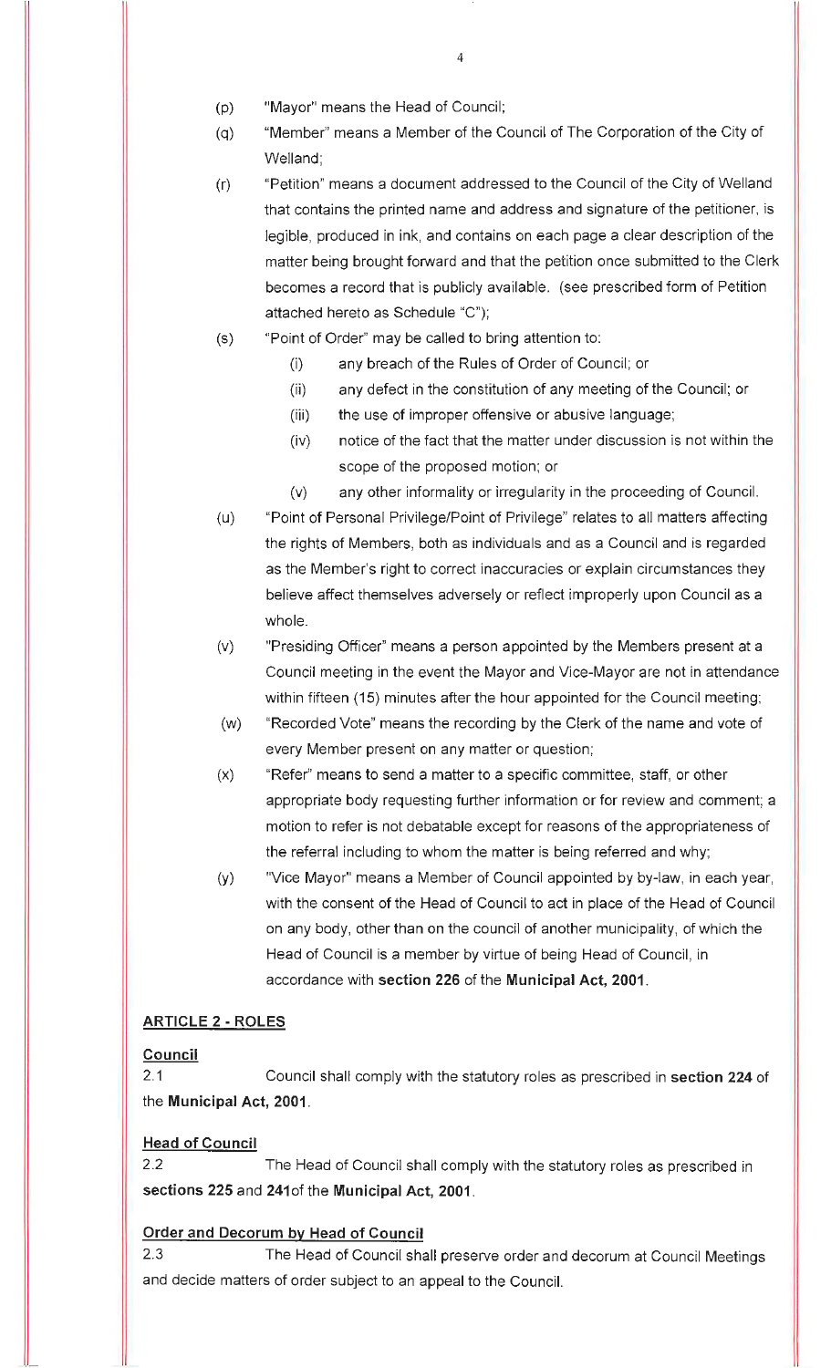- (p) "Mayor" means the Head of Council;
- (q) "Member" means a Member of the Council of The Corporation of the City of Welland;
- (r) "Petition" means a document addressed to the Council of the City of Welland that contains the printed name and address and signature of the petitioner, is legible, produced in ink, and contains on each page a clear description of the matter being brought forward and that the petition once submitted to the Clerk becomes a record that is publicly available. (see prescribed form of Petition attached hereto as Schedule "C");
- (s) "Point of Order" may be called to bring attention to:
	- (i) any breach of the Rules of Order of Council; or
	- (ii) any defect in the constitution of any meeting of the Council; or
	- (iii) the use of improper offensive or abusive language;
	- (iv) notice of the fact that the matter under discussion is not within the scope of the proposed motion; or
	- (v) any other informality or irregularity in the proceeding of Council.
- (u) "Point of Personal Privilege/Point of Privilege" relates to all matters affecting the rights of Members, both as individuals and as a Council and is regarded as the Member's right to correct inaccuracies or explain circumstances they believe affect themselves adversely or reflect improperly upon Council as a whole.
- (v) "Presiding Officer" means a person appointed by the Members present at a Council meeting in the event the Mayor and Vice-Mayor are not in attendance within fifteen (15) minutes after the hour appointed for the Council meeting;
- (w) "Recorded Vote" means the recording by the Clerk of the name and vote of every Member present on any matter or question;
- (x) "Refer" means to send a matter to a specific committee, staff, or other appropriate body requesting further information or for review and comment; a motion to refer is not debatable except for reasons of the appropriateness of the referral including to whom the matter is being referred and why;
- (y) "Vice Mayor" means a Member of Council appointed by by-law, in each year, with the consent of the Head of Council to act in place of the Head of Council on any body, other than on the council of another municipality, of which the Head of Council is a member by virtue of being Head of Council, in accordance with **section 226** of the **Municipal Act, 2001.**

#### **ARTICLE 2 - ROLES**

#### **Council**

2.1 Council shall comply with the statutory roles as prescribed in **section 224** of the **Municipal Act, 2001.** 

#### **Head of Council**

2.2 The Head of Council shall comply with the statutory roles as prescribed in **sections 225** and **241of** the **Municipal Act, 2001.** 

#### **Order and Decorum by Head of Council**

2.3 The Head of Council shall preserve order and decorum at Council Meetings and decide matters of order subject to an appeal to the Council.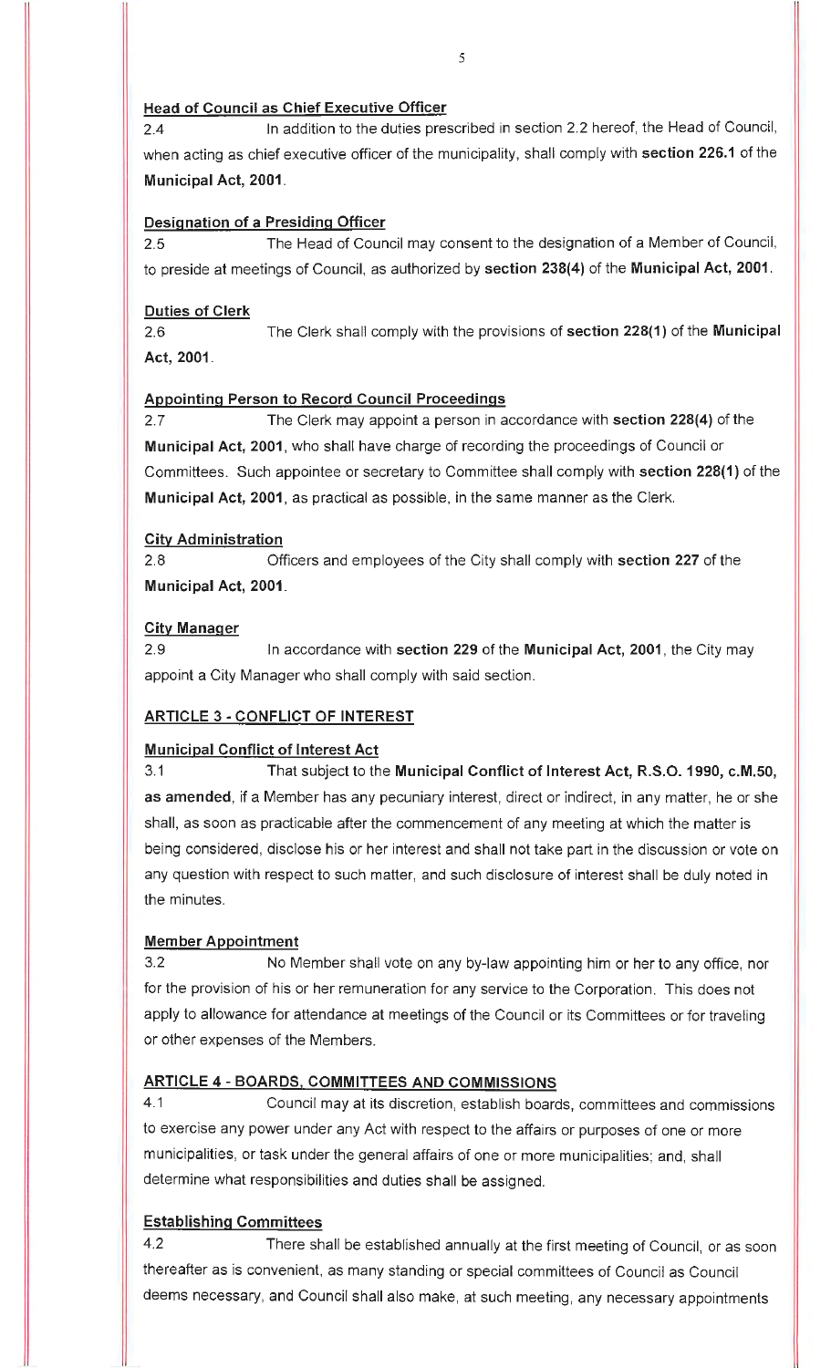#### **Head of Council as Chief Executive Officer**

2.4 In addition to the duties prescribed in section 2.2 hereof, the Head of Council, when acting as chief executive officer of the municipality, shall comply with **section 226.1** of the **Municipal Act, 2001 .** 

## **Designation of a Presiding Officer**

2.5 The Head of Council may consent to the designation of a Member of Council, to preside at meetings of Council, as authorized by **section 238(4)** of the **Municipal Act, 2001 .** 

#### **Duties of Clerk**

2.6 The Clerk shall comply with the provisions of **section 228(1)** of the **Municipal Act, 2001.** 

### **Appointing Person to Record Council Proceedings**

2.7 The Clerk may appoint a person in accordance with **section 228(4)** of the **Municipal Act, 2001,** who shall have charge of recording the proceedings of Council or Committees. Such appointee or secretary to Committee shall comply with **section 228(1)** of the **Municipal Act, 2001,** as practical as possible, in the same manner as the Clerk.

### **City Administration**

2.8 Officers and employees of the City shall comply with **section 227** of the **Municipal Act, 2001.** 

### **City Manager**

2.9 In accordance with **section 229** of the **Municipal Act, 2001,** the City may appoint a City Manager who shall comply with said section.

## **ARTICLE 3** - **CONFLICT OF INTEREST**

## **Municipal Conflict of Interest Act**

3.1 That subject to the **Municipal Conflict of Interest Act, R.S.O. 1990, c.M.50, as amended,** if a Member has any pecuniary interest, direct or indirect, in any matter, he or she shall, as soon as practicable after the commencement of any meeting at which the matter is being considered, disclose his or her interest and shall not take part in the discussion or vote on any question with respect to such matter, and such disclosure of interest shall be duly noted in the minutes.

#### **Member Appointment**

3.2 No Member shall vote on any by-law appointing him or her to any office, nor for the provision of his or her remuneration for any service to the Corporation. This does not apply to allowance for attendance at meetings of the Council or its Committees or for traveling or other expenses of the Members.

#### **ARTICLE 4 - BOARDS, COMMITTEES AND COMMISSIONS**

4.1 Council may at its discretion, establish boards, committees and commissions to exercise any power under any Act with respect to the affairs or purposes of one or more municipalities, or task under the general affairs of one or more municipalities; and, shall determine what responsibilities and duties shall be assigned.

## **Establishing Committees**

4.2 There shall be established annually at the first meeting of Council, or as soon thereafter as is convenient, as many standing or special committees of Council as Council deems necessary, and Council shall also make, at such meeting, any necessary appointments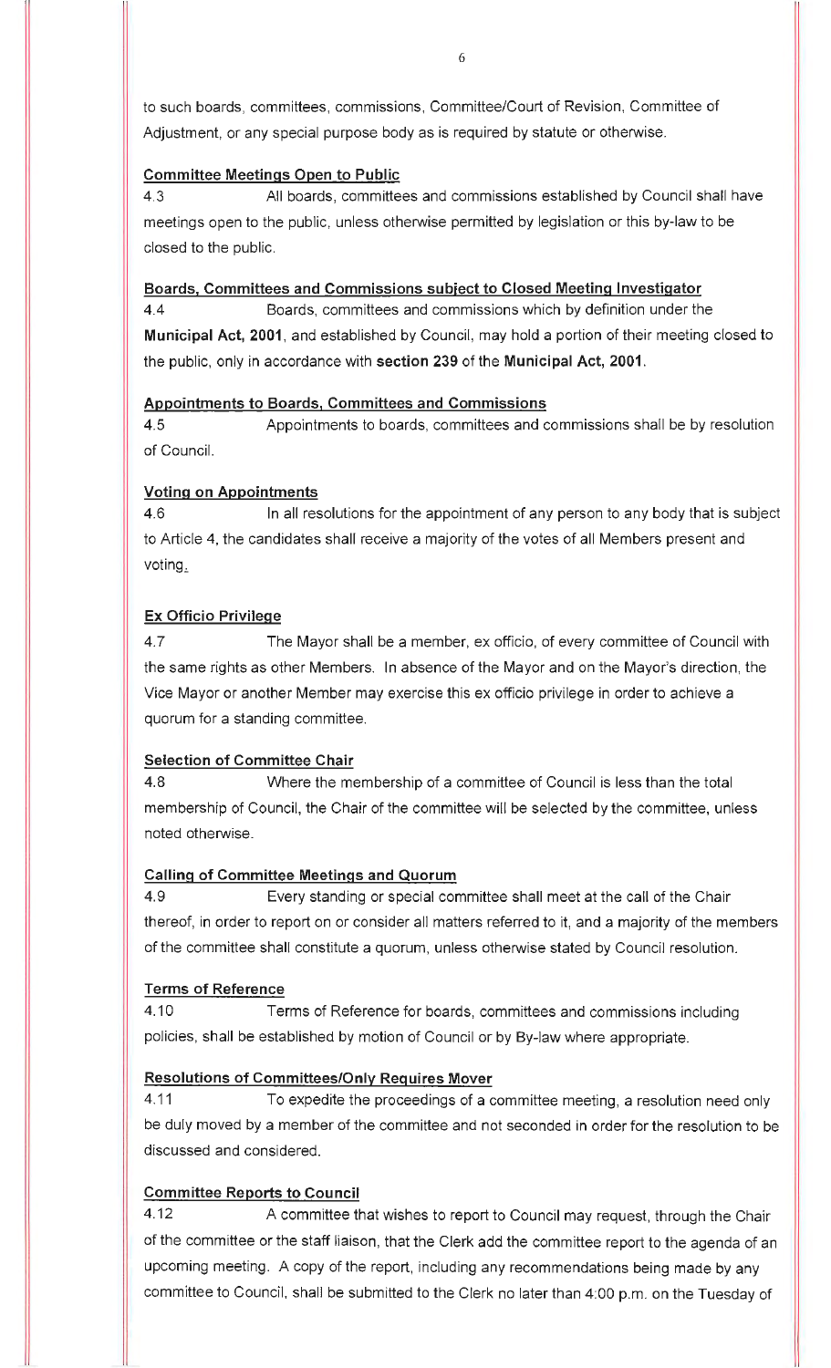to such boards, committees, commissions, Committee/Court of Revision, Committee of Adjustment, or any special purpose body as is required by statute or otherwise.

#### **Committee Meetings Open to Public**

4.3 All boards, committees and commissions established by Council shall have meetings open to the public, unless otherwise permitted by legislation or this by-law to be closed to the public.

#### **Boards, Committees and Commissions subject to Closed Meeting Investigator**

4.4 Boards, committees and commissions which by definition under the **Municipal Act, 2001,** and established by Council, may hold a portion of their meeting closed to the public, only in accordance with **section 239** of the **Municipal Act, 2001.** 

### **Appointments to Boards, Committees and Commissions**

4.5 Appointments to boards, committees and commissions shall be by resolution of Council.

## **Voting on Appointments**

4.6 In all resolutions for the appointment of any person to any body that is subject to Article 4, the candidates shall receive a majority of the votes of all Members present and voting.

## **Ex Officio Privilege**

4 .7 The Mayor shall be a member, ex officio, of every committee of Council with the same rights as other Members. In absence of the Mayor and on the Mayor's direction, the Vice Mayor or another Member may exercise this ex officio privilege in order to achieve a quorum for a standing committee.

## **Selection of Committee Chair**

4.8 Where the membership of a committee of Council is less than the total membership of Council, the Chair of the committee will be selected by the committee, unless noted otherwise.

## **Calling of Committee Meetings and Quorum**

4.9 Every standing or special committee shall meet at the call of the Chair thereof, in order to report on or consider all matters referred to it, and a majority of the members of the committee shall constitute a quorum, unless otherwise stated by Council resolution.

## **Terms of Reference**

4.10 **Terms of Reference for boards, committees and commissions including** policies, shall be established by motion of Council or by By-law where appropriate.

## **Resolutions of Committees/Only Requires Mover**

4.11 To expedite the proceedings of a committee meeting, a resolution need only be duly moved by a member of the committee and not seconded in order for the resolution to be discussed and considered.

## **Committee Reports to Council**

4.12 A committee that wishes to report to Council may request, through the Chair of the committee or the staff liaison, that the Clerk add the committee report to the agenda of an upcoming meeting. A copy of the report, including any recommendations being made by any committee to Council, shall be submitted to the Clerk no later than 4:00 p.m. on the Tuesday of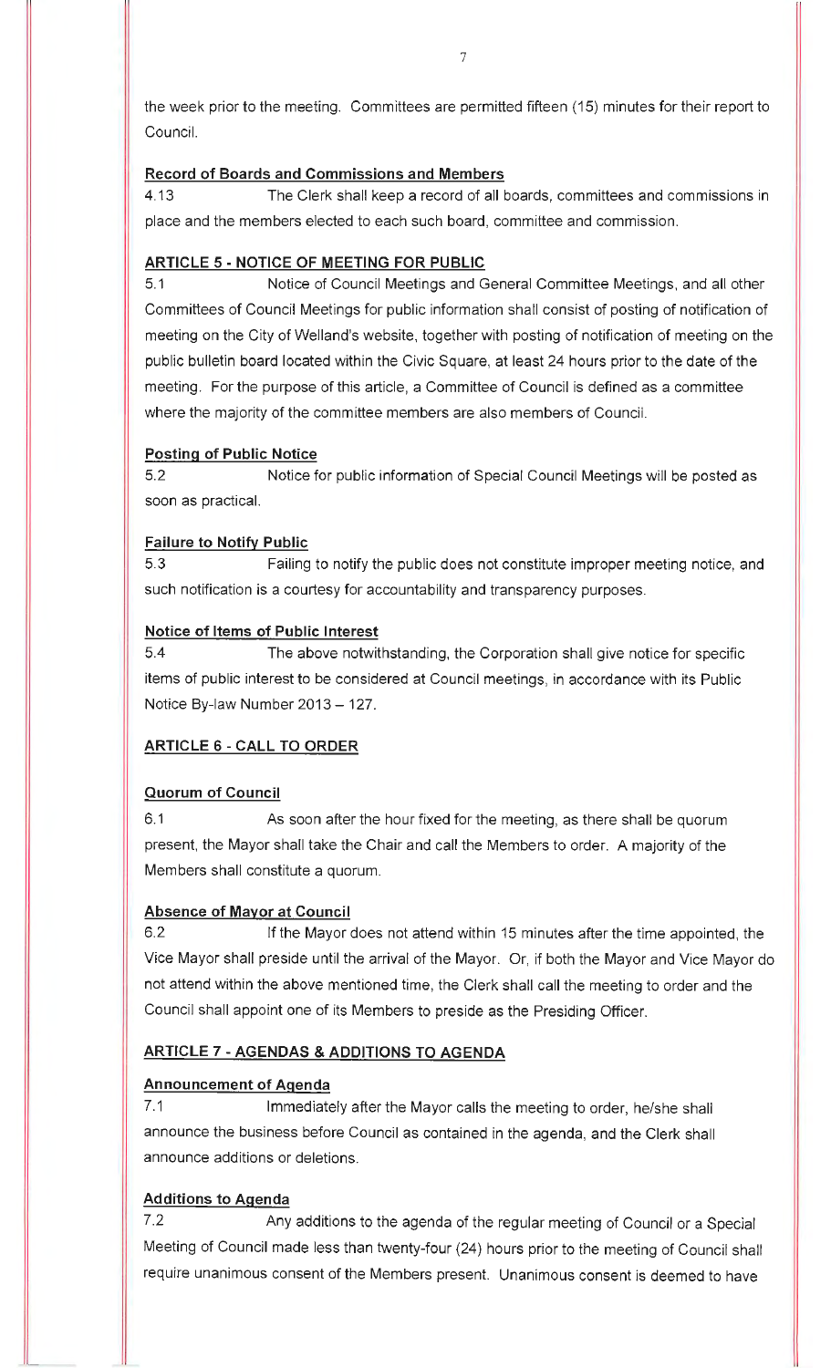the week prior to the meeting. Committees are permitted fifteen (15) minutes for their report to Council.

### **Record of Boards and Commissions and Members**

4.13 The Clerk shall keep a record of all boards, committees and commissions in place and the members elected to each such board, committee and commission.

## **ARTICLE 5- NOTICE OF MEETING FOR PUBLIC**

5.1 Notice of Council Meetings and General Committee Meetings, and all other Committees of Council Meetings for public information shall consist of posting of notification of meeting on the City of Welland's website, together with posting of notification of meeting on the public bulletin board located within the Civic Square, at least 24 hours prior to the date of the meeting. For the purpose of this article, a Committee of Council is defined as a committee where the majority of the committee members are also members of Council.

### **Posting of Public Notice**

5.2 Notice for public information of Special Council Meetings will be posted as soon as practical.

## **Failure to Notify Public**

5.3 Failing to notify the public does not constitute improper meeting notice, and such notification is a courtesy for accountability and transparency purposes.

### **Notice of Items of Public Interest**

5.4 The above notwithstanding, the Corporation shall give notice for specific items of public interest to be considered at Council meetings, in accordance with its Public Notice By-law Number 2013 - 127.

## **ARTICLE 6 - CALL TO ORDER**

## **Quorum of Council**

6.1 As soon after the hour fixed for the meeting, as there shall be quorum present, the Mayor shall take the Chair and call the Members to order. A majority of the Members shall constitute a quorum.

#### **Absence of Mayor at Council**

6.2 If the Mayor does not attend within 15 minutes after the time appointed, the Vice Mayor shall preside until the arrival of the Mayor. Or, if both the Mayor and Vice Mayor do not attend within the above mentioned time, the Clerk shall call the meeting to order and the Council shall appoint one of its Members to preside as the Presiding Officer.

## **ARTICLE 7 - AGENDAS & ADDITIONS TO AGENDA**

#### **Announcement of Agenda**

7.1 Immediately after the Mayor calls the meeting to order, he/she shall announce the business before Council as contained in the agenda, and the Clerk shall announce additions or deletions.

## **Additions to Agenda**

7.2 Any additions to the agenda of the regular meeting of Council or a Special Meeting of Council made less than twenty-four (24) hours prior to the meeting of Council shall require unanimous consent of the Members present. Unanimous consent is deemed to have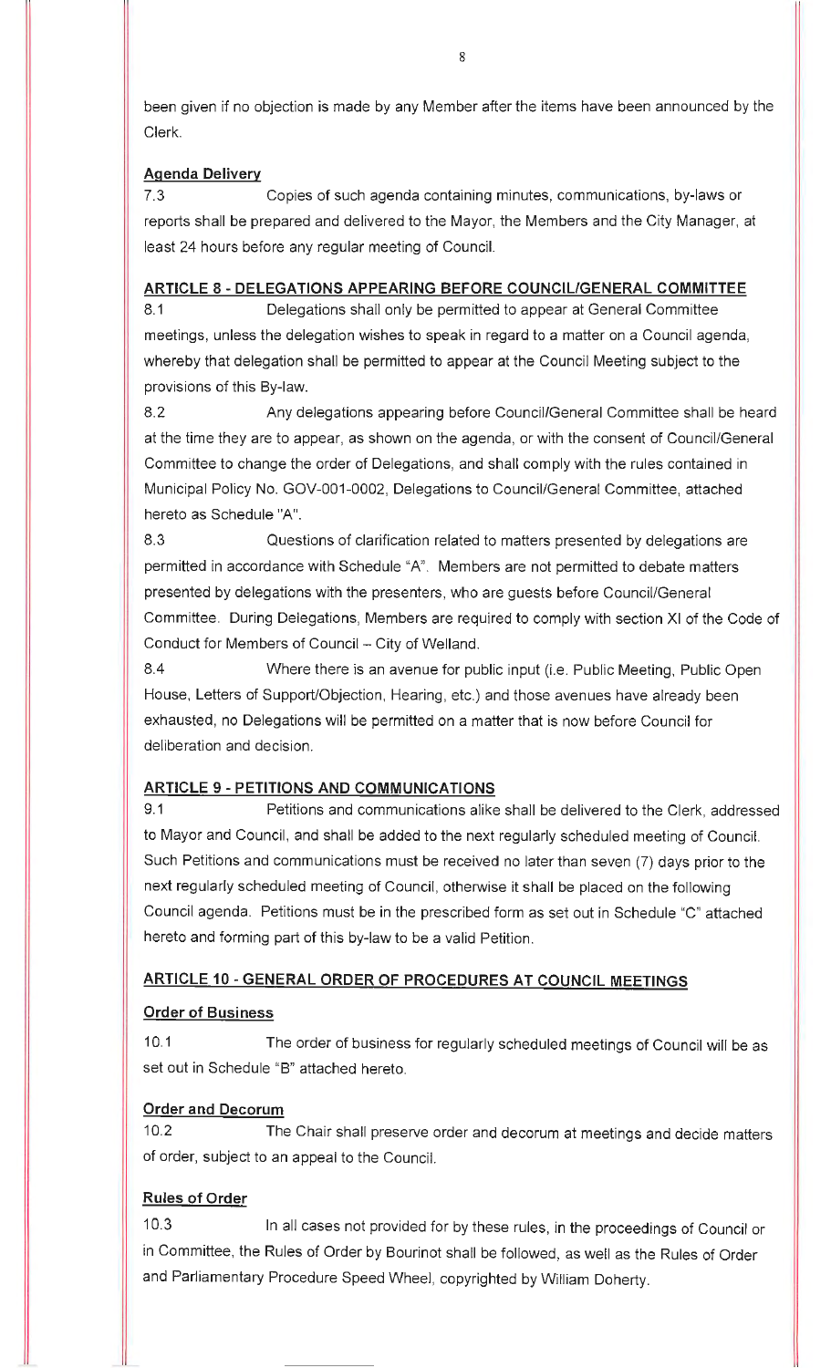been given if no objection is made by any Member after the items have been announced by the Clerk.

#### **Agenda Delivery**

7.3 Copies of such agenda containing minutes, communications, by-laws or reports shall be prepared and delivered to the Mayor, the Members and the City Manager, at least 24 hours before any regular meeting of Council.

### **ARTICLE 8** - **DELEGATIONS APPEARING BEFORE COUNCIL/GENERAL COMMITTEE**

8. 1 Delegations shall only be permitted to appear at General Committee meetings, unless the delegation wishes to speak in regard to a matter on a Council agenda, whereby that delegation shall be permitted to appear at the Council Meeting subject to the provisions of this By-law.

8.2 Any delegations appearing before Council/General Committee shall be heard at the time they are to appear, as shown on the agenda, or with the consent of Council/General Committee to change the order of Delegations, and shall comply with the rules contained in Municipal Policy No. GOV-001-0002, Delegations to Council/General Committee, attached hereto as Schedule "A".

8.3 Questions of clarification related to matters presented by delegations are permitted in accordance with Schedule "A". Members are not permitted to debate matters presented by delegations with the presenters, who are guests before Council/General Committee. During Delegations, Members are required to comply with section XI of the Code of Conduct for Members of Council - City of Welland.

8.4 Where there is an avenue for public input (i.e. Public Meeting, Public Open House, Letters of Support/Objection, Hearing, etc.) and those avenues have already been exhausted, no Delegations will be permitted on a matter that is now before Council for deliberation and decision.

## **ARTICLE 9** - **PETITIONS AND COMMUNICATIONS**

9.1 Petitions and communications alike shall be delivered to the Clerk, addressed to Mayor and Council, and shall be added to the next regularly scheduled meeting of Council. Such Petitions and communications must be received no later than seven (7) days prior to the next regularly scheduled meeting of Council, otherwise it shall be placed on the following Council agenda. Petitions must be in the prescribed form as set out in Schedule "C" attached hereto and forming part of this by-law to be a valid Petition.

## **ARTICLE 10 - GENERAL ORDER OF PROCEDURES AT COUNCIL MEETINGS**

## **Order of Business**

10.1 The order of business for regularly scheduled meetings of Council will be as set out in Schedule "B" attached hereto.

## **Order and Decorum**

10.2 The Chair shall preserve order and decorum at meetings and decide matters of order, subject to an appeal to the Council.

## **Rules of Order**

10.3 In all cases not provided for by these rules, in the proceedings of Council or in Committee, the Rules of Order by Bourinot shall be followed, as well as the Rules of Order and Parliamentary Procedure Speed Wheel, copyrighted by William Doherty.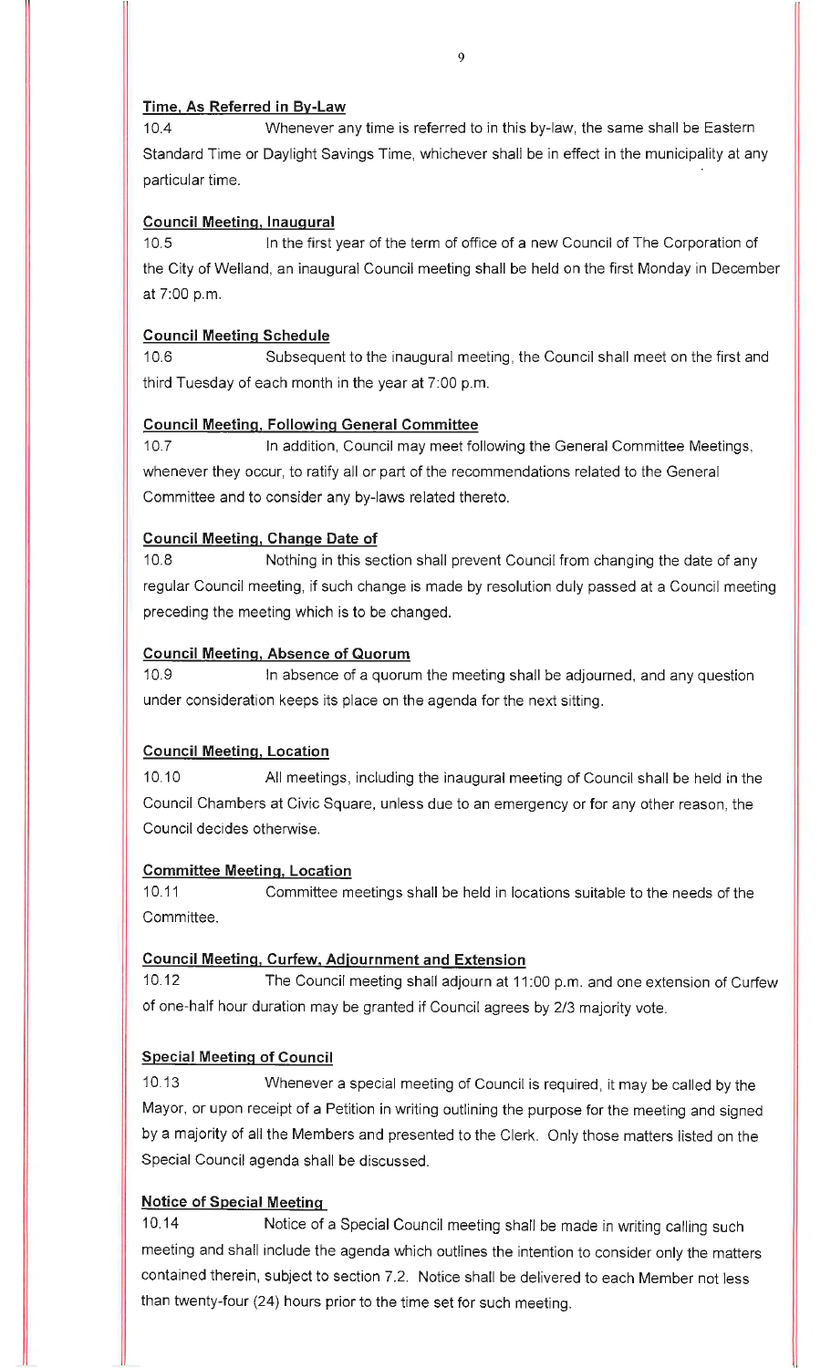#### **Time, As Referred in By-Law**

10.4 Whenever any time is referred to in this by-law, the same shall be Eastern Standard Time or Daylight Savings Time, whichever shall be in effect in the municipality at any particular time.

### **Council Meeting, Inaugural**

10.5 In the first year of the term of office of a new Council of The Corporation of the City of Welland, an inaugural Council meeting shall be held on the first Monday in December at 7:00 p.m.

### **Council Meeting Schedule**

10.6 Subsequent to the inaugural meeting, the Council shall meet on the first and third Tuesday of each month in the year at 7:00 p.m.

### **Council Meeting, Following General Committee**

10.7 In addition, Council may meet following the General Committee Meetings, whenever they occur, to ratify all or part of the recommendations related to the General Committee and to consider any by-laws related thereto.

### **Council Meeting, Change Date of**

10.8 Nothing in this section shall prevent Council from changing the date of any regular Council meeting, if such change is made by resolution duly passed at a Council meeting preceding the meeting which is to be changed.

### **Council Meeting, Absence of Quorum**

10.9 In absence of a quorum the meeting shall be adjourned, and any question under consideration keeps its place on the agenda for the next sitting.

## **Council Meeting, Location**

10.10 All meetings, including the inaugural meeting of Council shall be held in the Council Chambers at Civic Square, unless due to an emergency or for any other reason, the Council decides otherwise.

#### **Committee Meeting, Location**

10.11 Committee meetings shall be held in locations suitable to the needs of the Committee.

#### **Council Meeting, Curfew, Adjournment and Extension**

10.12 The Council meeting shall adjourn at 11 :00 p.m. and one extension of Curfew of one-half hour duration may be granted if Council agrees by 2/3 majority vote.

## **Special Meeting of Council**

10.13 Whenever a special meeting of Council is required, it may be called by the Mayor, or upon receipt of a Petition in writing outlining the purpose for the meeting and signed by a majority of all the Members and presented to the Clerk. Only those matters listed on the Special Council agenda shall be discussed.

## **Notice of Special Meeting**

10.14 Notice of a Special Council meeting shall be made in writing calling such meeting and shall include the agenda which outlines the intention to consider only the matters contained therein, subject to section 7.2. Notice shall be delivered to each Member not less than twenty-four (24) hours prior to the time set for such meeting.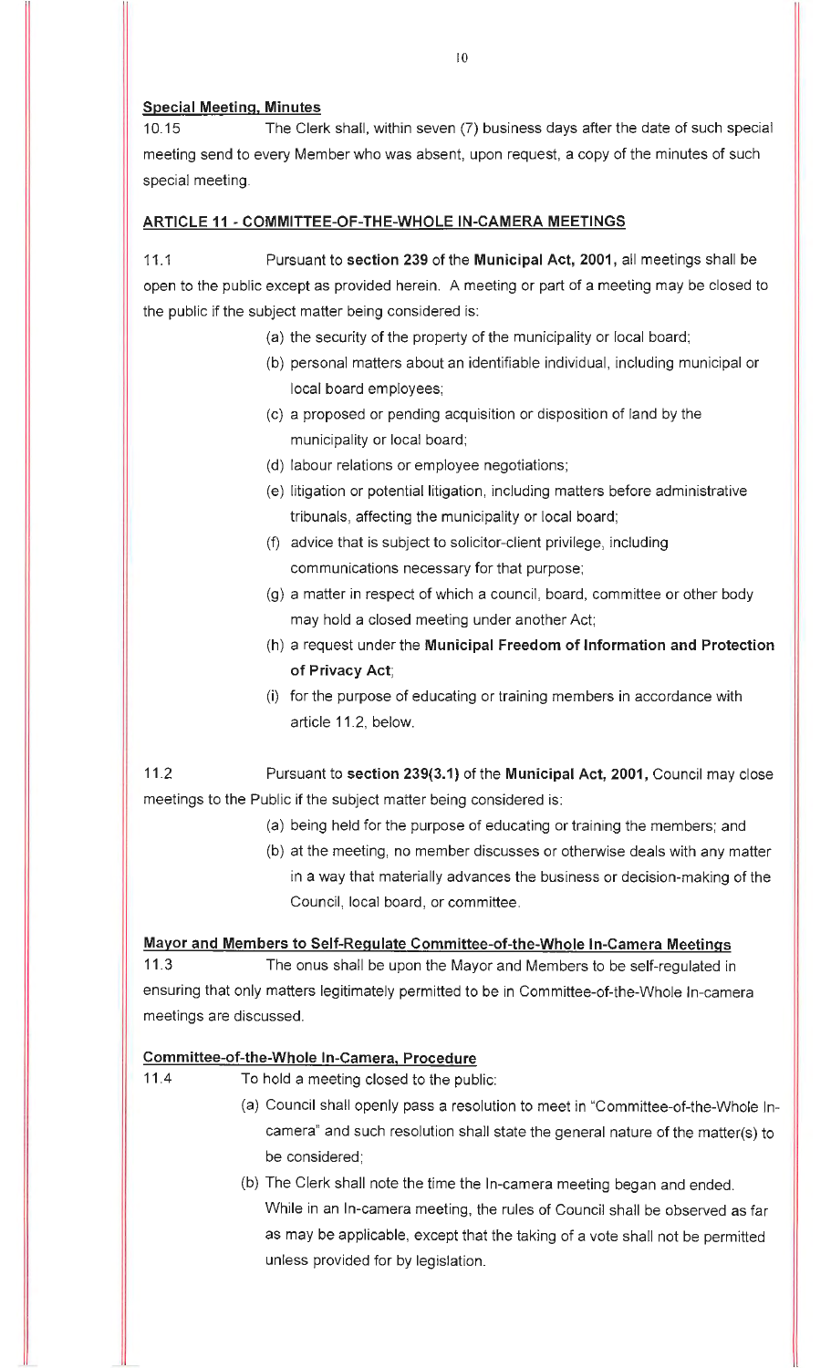#### **Special Meeting, Minutes**

10.15 The Clerk shall, within seven (7) business days after the date of such special meeting send to every Member who was absent, upon request, a copy of the minutes of such special meeting.

#### **ARTICLE 11 - COMMITTEE-OF-THE-WHOLE IN-CAMERA MEETINGS**

11 .1 Pursuant to **section 239** of the **Municipal Act, 2001,** all meetings shall be open to the public except as provided herein. A meeting or part of a meeting may be closed to the public if the subject matter being considered is:

- (a) the security of the property of the municipality or local board;
	- (b) personal matters about an identifiable individual, including municipal or local board employees;
- (c) a proposed or pending acquisition or disposition of land by the municipality or local board;
- (d) labour relations or employee negotiations;
- (e) litigation or potential litigation, including matters before administrative tribunals, affecting the municipality or local board;
- (f) advice that is subject to solicitor-client privilege, including communications necessary for that purpose;
- (g) a matter in respect of which a council, board, committee or other body may hold a closed meeting under another Act;
- (h) a request under the **Municipal Freedom of Information and Protection of Privacy Act;**
- (i) for the purpose of educating or training members in accordance with article 11.2, below.

11.2 Pursuant to **section 239(3.1)** of the **Municipal Act, 2001,** Council may close meetings to the Public if the subject matter being considered is:

- (a) being held for the purpose of educating or training the members; and
- (b) at the meeting, no member discusses or otherwise deals with any matter in a way that materially advances the business or decision-making of the Council, local board, or committee.

#### **Mayor and Members to Self-Regulate Committee-of-the-Whole In-Camera Meetings**

11.3 The onus shall be upon the Mayor and Members to be self-regulated in ensuring that only matters legitimately permitted to be in Committee-of-the-Whole In-camera meetings are discussed.

#### **Committee-of-the-Whole In-Camera. Procedure**

11.4 To hold a meeting closed to the public:

- (a) Council shall openly pass a resolution to meet in "Committee-of-the-Whole Incamera" and such resolution shall state the general nature of the matter(s) to be considered;
- (b) The Clerk shall note the time the In-camera meeting began and ended. While in an In-camera meeting, the rules of Council shall be observed as far as may be applicable, except that the taking of a vote shall not be permitted unless provided for by legislation.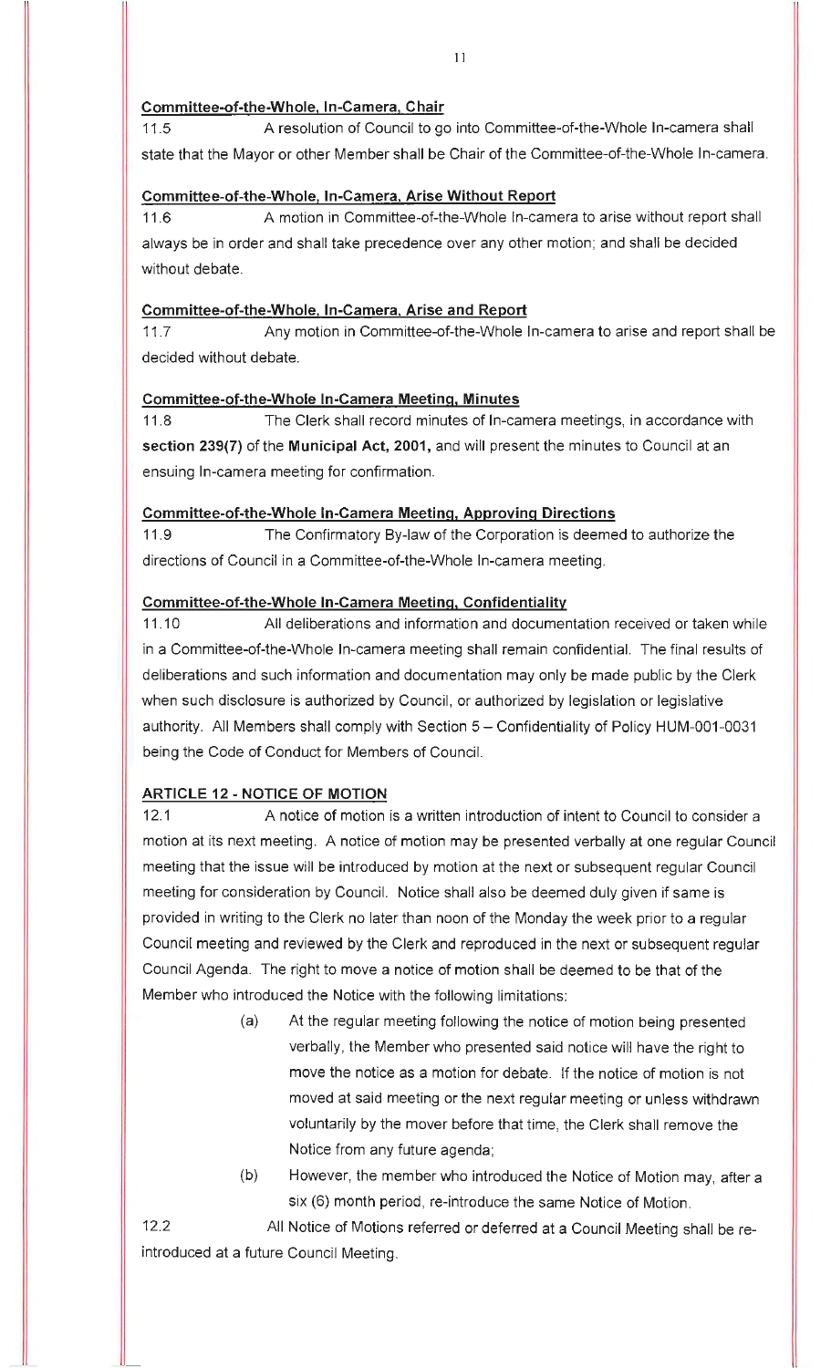### **Committee-of-the-Whole, In-Camera, Chair**

11.5 A resolution of Council to go into Committee-of-the-Whole In-camera shall state that the Mayor or other Member shall be Chair of the Committee-of-the-Whole In-camera.

### **Committee-of-the-Whole, In-Camera, Arise Without Report**

11.6 A motion in Committee-of-the-Whole In-camera to arise without report shall always be in order and shall take precedence over any other motion; and shall be decided without debate.

### **Committee-of-the-Whole, In-Camera, Arise and Report**

11 .7 Any motion in Committee-of-the-Whole In-camera to arise and report shall be decided without debate.

### **Committee-of-the-Whole In-Camera Meeting, Minutes**

11.8 The Clerk shall record minutes of In-camera meetings, in accordance with **section 239(7)** of the **Municipal Act, 2001,** and will present the minutes to Council at an ensuing In-camera meeting for confirmation.

### **Committee-of-the-Whole In-Camera Meeting, Approving Directions**

11.9 The Confirmatory By-law of the Corporation is deemed to authorize the directions of Council in a Committee-of-the-Whole In-camera meeting.

## **Committee-of-the-Whole In-Camera Meeting, Confidentiality**

11.10 All deliberations and information and documentation received or taken while in a Committee-of-the-Whole In-camera meeting shall remain confidential. The final results of deliberations and such information and documentation may only be made public by the Clerk when such disclosure is authorized by Council, or authorized by legislation or legislative authority. All Members shall comply with Section 5 - Confidentiality of Policy HUM-001-0031 being the Code of Conduct for Members of Council.

## **ARTICLE 12 - NOTICE OF MOTION**

12.1 A notice of motion is a written introduction of intent to Council to consider a motion at its next meeting. A notice of motion may be presented verbally at one regular Council meeting that the issue will be introduced by motion at the next or subsequent regular Council meeting for consideration by Council. Notice shall also be deemed duly given if same is provided in writing to the Clerk no later than noon of the Monday the week prior to a regular Council meeting and reviewed by the Clerk and reproduced in the next or subsequent regular Council Agenda. The right to move a notice of motion shall be deemed to be that of the Member who introduced the Notice with the following limitations:

- (a) At the regular meeting following the notice of motion being presented verbally, the Member who presented said notice will have the right to move the notice as a motion for debate. If the notice of motion is not moved at said meeting or the next regular meeting or unless withdrawn voluntarily by the mover before that time, the Clerk shall remove the Notice from any future agenda;
- (b) However, the member who introduced the Notice of Motion may, after a six (6) month period, re-introduce the same Notice of Motion.

12.2 All Notice of Motions referred or deferred at a Council Meeting shall be reintroduced at a future Council Meeting.

11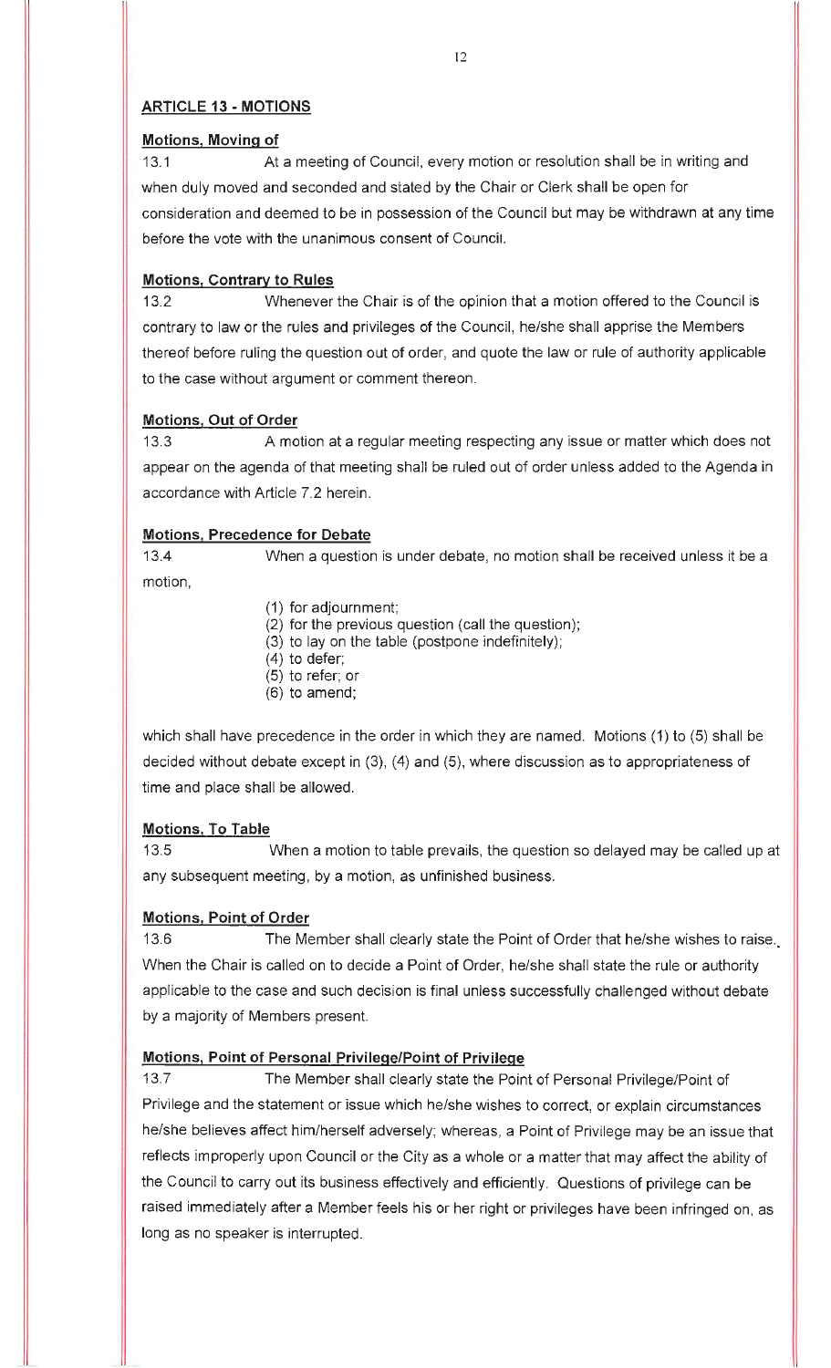## **ARTICLE 13 - MOTIONS**

### **Motions, Moving of**

13.1 At a meeting of Council, every motion or resolution shall be in writing and when duly moved and seconded and stated by the Chair or Clerk shall be open for consideration and deemed to be in possession of the Council but may be withdrawn at any time before the vote with the unanimous consent of Council.

## **Motions, Contrary to Rules**

13.2 Whenever the Chair is of the opinion that a motion offered to the Council is contrary to law or the rules and privileges of the Council, he/she shall apprise the Members thereof before ruling the question out of order, and quote the law or rule of authority applicable to the case without argument or comment thereon.

## **Motions, Out of Order**

13.3 A motion at a regular meeting respecting any issue or matter which does not appear on the agenda of that meeting shall be ruled out of order unless added to the Agenda in accordance with Article 7.2 herein.

### **Motions, Precedence for Debate**

13.4 When a question is under debate, no motion shall be received unless it be a motion,

- (1) for adjournment;
- (2) for the previous question (call the question);
- (3) to lay on the table (postpone indefinitely);
- $(4)$  to defer;
- (5) to refer; or
- (6) to amend;

which shall have precedence in the order in which they are named. Motions (1) to (5) shall be decided without debate except in (3), (4) and (5), where discussion as to appropriateness of time and place shall be allowed.

#### **Motions, To Table**

13.5 When a motion to table prevails, the question so delayed may be called up at any subsequent meeting, by a motion, as unfinished business.

#### **Motions, Point of Order**

13.6 The Member shall clearly state the Point of Order that he/she wishes to raise.\_ When the Chair is called on to decide a Point of Order, he/she shall state the rule or authority applicable to the case and such decision is final unless successfully challenged without debate by a majority of Members present.

## **Motions, Point of Personal Privilege/Point of Privilege**

13.7 The Member shall clearly state the Point of Personal Privilege/Point of Privilege and the statement or issue which he/she wishes to correct, or explain circumstances he/she believes affect him/herself adversely; whereas, a Point of Privilege may be an issue that reflects improperly upon Council or the City as a whole or a matter that may affect the ability of the Council to carry out its business effectively and efficiently. Questions of privilege can be raised immediately after a Member feels his or her right or privileges have been infringed on, as long as no speaker is interrupted.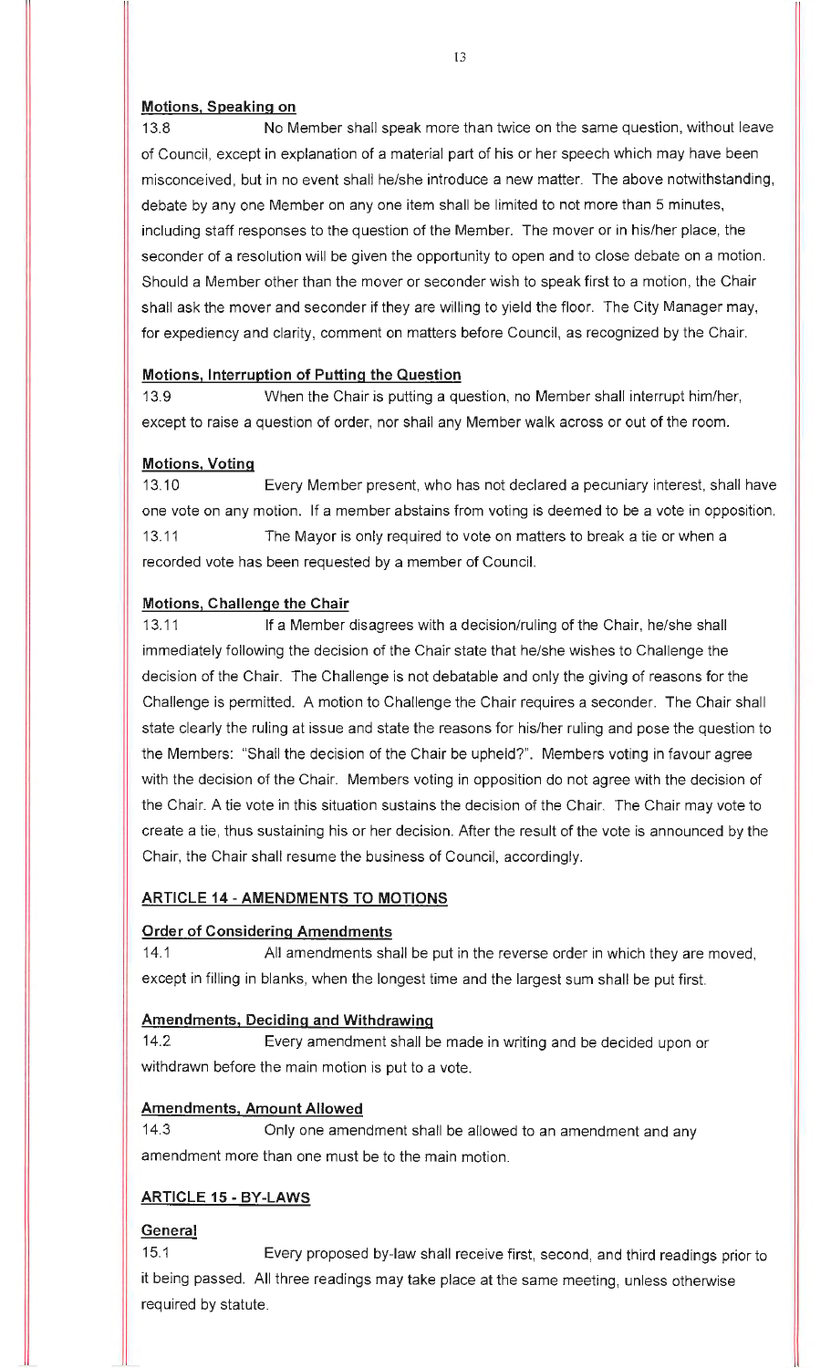#### **Motions, Speaking on**

13.8 No Member shall speak more than twice on the same question, without leave of Council, except in explanation of a material part of his or her speech which may have been misconceived, but in no event shall he/she introduce a new matter. The above notwithstanding, debate by any one Member on any one item shall be limited to not more than 5 minutes, including staff responses to the question of the Member. The mover or in his/her place, the seconder of a resolution will be given the opportunity to open and to close debate on a motion. Should a Member other than the mover or seconder wish to speak first to a motion, the Chair shall ask the mover and seconder if they are willing to yield the floor. The City Manager may, for expediency and clarity, comment on matters before Council, as recognized by the Chair.

#### **Motions, Interruption of Putting the Question**

13.9 When the Chair is putting a question, no Member shall interrupt him/her, except to raise a question of order, nor shall any Member walk across or out of the room.

#### **Motions, Voting**

13.10 Every Member present, who has not declared a pecuniary interest, shall have one vote on any motion. If a member abstains from voting is deemed to be a vote in opposition. 13.11 The Mayor is only required to vote on matters to break a tie or when a recorded vote has been requested by a member of Council.

#### **Motions, Challenge the Chair**

13.11 If a Member disagrees with a decision/ruling of the Chair, he/she shall immediately following the decision of the Chair state that he/she wishes to Challenge the decision of the Chair. The Challenge is not debatable and only the giving of reasons for the Challenge is permitted. A motion to Challenge the Chair requires a seconder. The Chair shall state clearly the ruling at issue and state the reasons for his/her ruling and pose the question to the Members: "Shall the decision of the Chair be upheld?". Members voting in favour agree with the decision of the Chair. Members voting in opposition do not agree with the decision of the Chair. A tie vote in this situation sustains the decision of the Chair. The Chair may vote to create a tie, thus sustaining his or her decision. After the result of the vote is announced by the Chair, the Chair shall resume the business of Council, accordingly.

#### **ARTICLE 14 - AMENDMENTS TO MOTIONS**

#### **Order of Considering Amendments**

14.1 All amendments shall be put in the reverse order in which they are moved, except in filling in blanks, when the longest time and the largest sum shall be put first.

#### **Amendments, Deciding and Withdrawing**

14.2 Every amendment shall be made in writing and be decided upon or withdrawn before the main motion is put to a vote.

#### **Amendments, Amount Allowed**

14.3 Only one amendment shall be allowed to an amendment and any amendment more than one must be to the main motion.

#### **ARTICLE 15 - BY-LAWS**

### **General**

15.1 Every proposed by-law shall receive first, second, and third readings prior to it being passed. All three readings may take place at the same meeting, unless otherwise required by statute.

13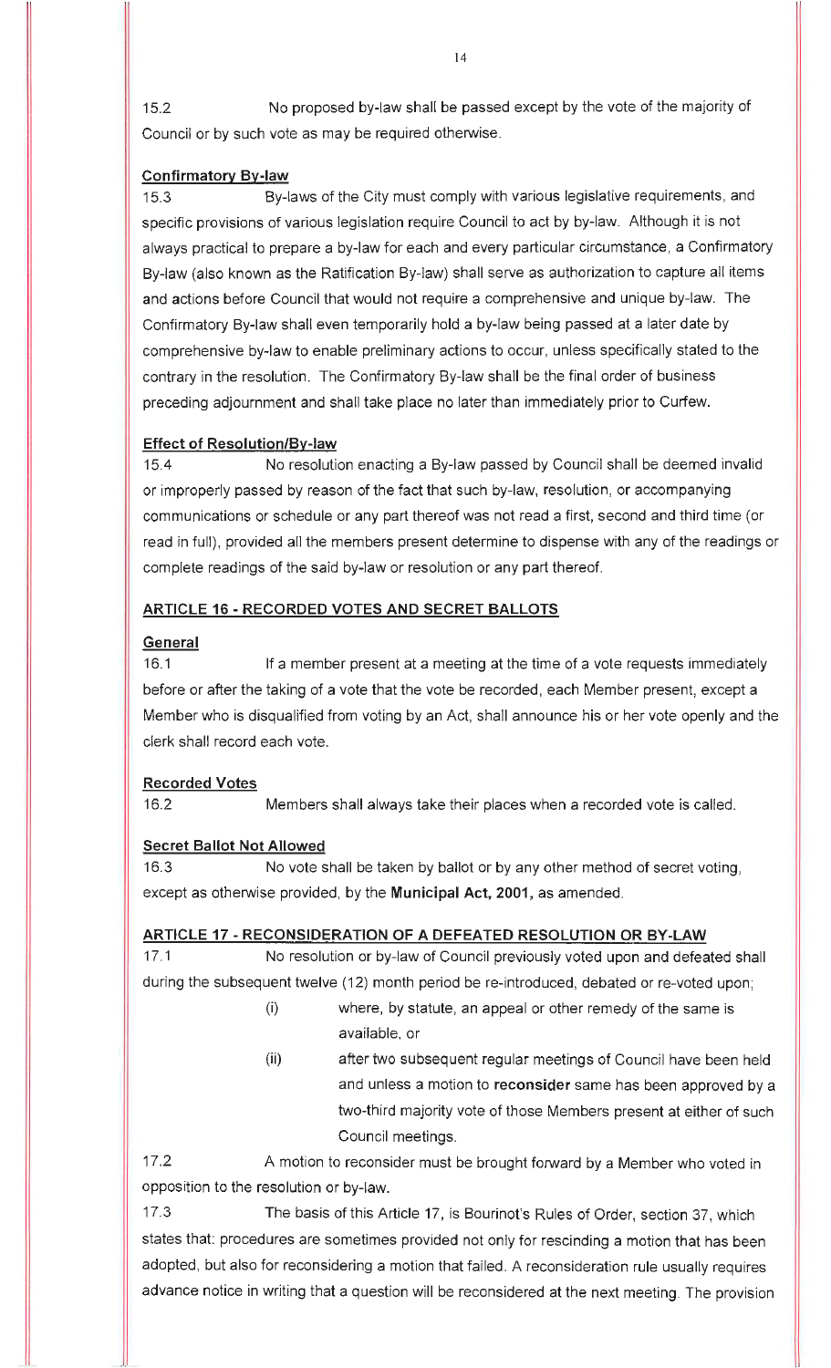15.2 No proposed by-law shall be passed except by the vote of the majority of Council or by such vote as may be required otherwise.

### **Confirmatory By-law**

15.3 By-laws of the City must comply with various legislative requirements, and specific provisions of various legislation require Council to act by by-law. Although it is not always practical to prepare a by-law for each and every particular circumstance, a Confirmatory By-law (also known as the Ratification By-law) shall serve as authorization to capture all items and actions before Council that would not require a comprehensive and unique by-law. The Confirmatory By-law shall even temporarily hold a by-law being passed at a later date by comprehensive by-law to enable preliminary actions to occur, unless specifically stated to the contrary in the resolution. The Confirmatory By-law shall be the final order of business preceding adjournment and shall take place no later than immediately prior to Curfew.

### **Effect of Resolution/By-law**

15.4 No resolution enacting a By-law passed by Council shall be deemed invalid or improperly passed by reason of the fact that such by-law, resolution, or accompanying communications or schedule or any part thereof was not read a first, second and third time (or read in full), provided all the members present determine to dispense with any of the readings or complete readings of the said by-law or resolution or any part thereof.

### **ARTICLE 16 - RECORDED VOTES AND SECRET BALLOTS**

#### **General**

16.1 If a member present at a meeting at the time of a vote requests immediately before or after the taking of a vote that the vote be recorded, each Member present, except a Member who is disqualified from voting by an Act, shall announce his or her vote openly and the clerk shall record each vote.

#### **Recorded Votes**

16.2 Members shall always take their places when a recorded vote is called.

#### **Secret Ballot Not Allowed**

16.3 No vote shall be taken by ballot or by any other method of secret voting, except as otherwise provided, by the **Municipal Act, 2001,** as amended.

## **ARTICLE 17 - RECONSIDERATION OF A DEFEATED RESOLUTION OR BY-LAW**

17.1 No resolution or by-law of Council previously voted upon and defeated shall during the subsequent twelve (12) month period be re-introduced, debated or re-voted upon;

- (i) where, by statute, an appeal or other remedy of the same is available, or
- (ii) after two subsequent regular meetings of Council have been held and unless a motion to **reconsider** same has been approved by a two-third majority vote of those Members present at either of such Council meetings.

17.2 A motion to reconsider must be brought forward by a Member who voted in opposition to the resolution or by-law.

17.3 The basis of this Article 17, is Bourinot's Rules of Order, section 37, which states that: procedures are sometimes provided not only for rescinding a motion that has been adopted, but also for reconsidering a motion that failed. A reconsideration rule usually requires advance notice in writing that a question will be reconsidered at the next meeting. The provision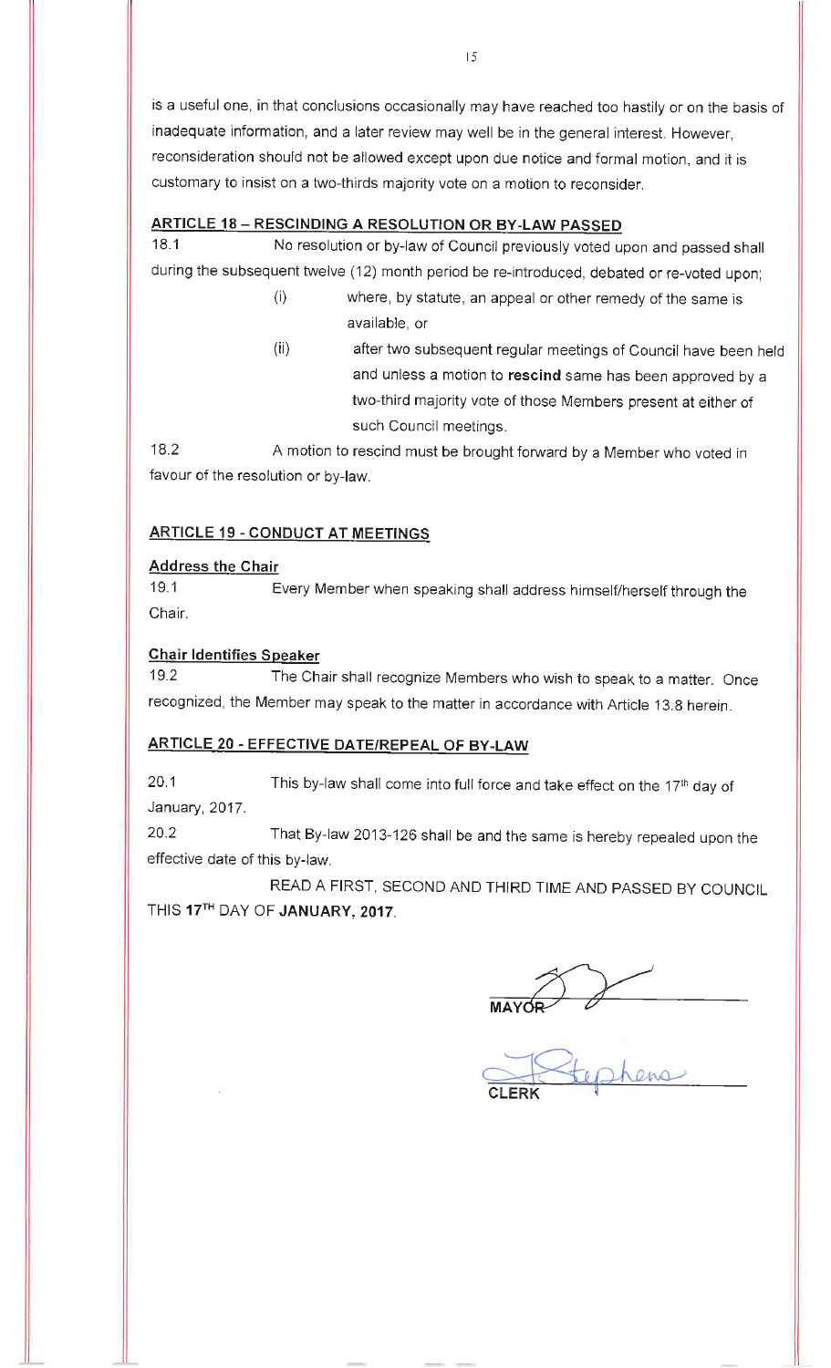is a useful one, in that conclusions occasionally may have reached too hastily or on the basis of inadequate information, and a later review may well be in the general interest. However, reconsideration should not be allowed except upon due notice and formal motion, and it is customary to insist on a two-thirds majority vote on a motion to reconsider.

#### **ARTICLE 18 - RESCINDING A RESOLUTION OR BY-LAW PASSED**

18.1 No resolution or by-law of Council previously voted upon and passed shall during the subsequent twelve (12) month period be re-introduced, debated or re-voted upon;

- (i) where, by statute, an appeal or other remedy of the same is available, or
- (ii) after two subsequent regular meetings of Council have been held and unless a motion to **rescind** same has been approved by a two-third majority vote of those Members present at either of such Council meetings.

18.2 A motion to rescind must be brought forward by a Member who voted in favour of the resolution or by-law.

#### **ARTICLE 19 - CONDUCT AT MEETINGS**

#### **Address the Chair**

19.1 Every Member when speaking shall address himself/herself through the Chair.

#### **Chair Identifies Speaker**

19.2 The Chair shall recognize Members who wish to speak to a matter. Once recognized, the Member may speak to the matter in accordance with Article 13.8 herein.

## **ARTICLE 20 - EFFECTIVE DATE/REPEAL OF BY-LAW**

20.1 This by-law shall come into full force and take effect on the 17<sup>th</sup> day of January, 2017.

20.2 That By-law 2013-126 shall be and the same is hereby repealed upon the effective date of this by-law.

READ A FIRST, SECOND AND THIRD TIME AND PASSED BY COUNCIL THIS 17TH DAY OF **JANUARY, 2017.** 

 $MAYOR$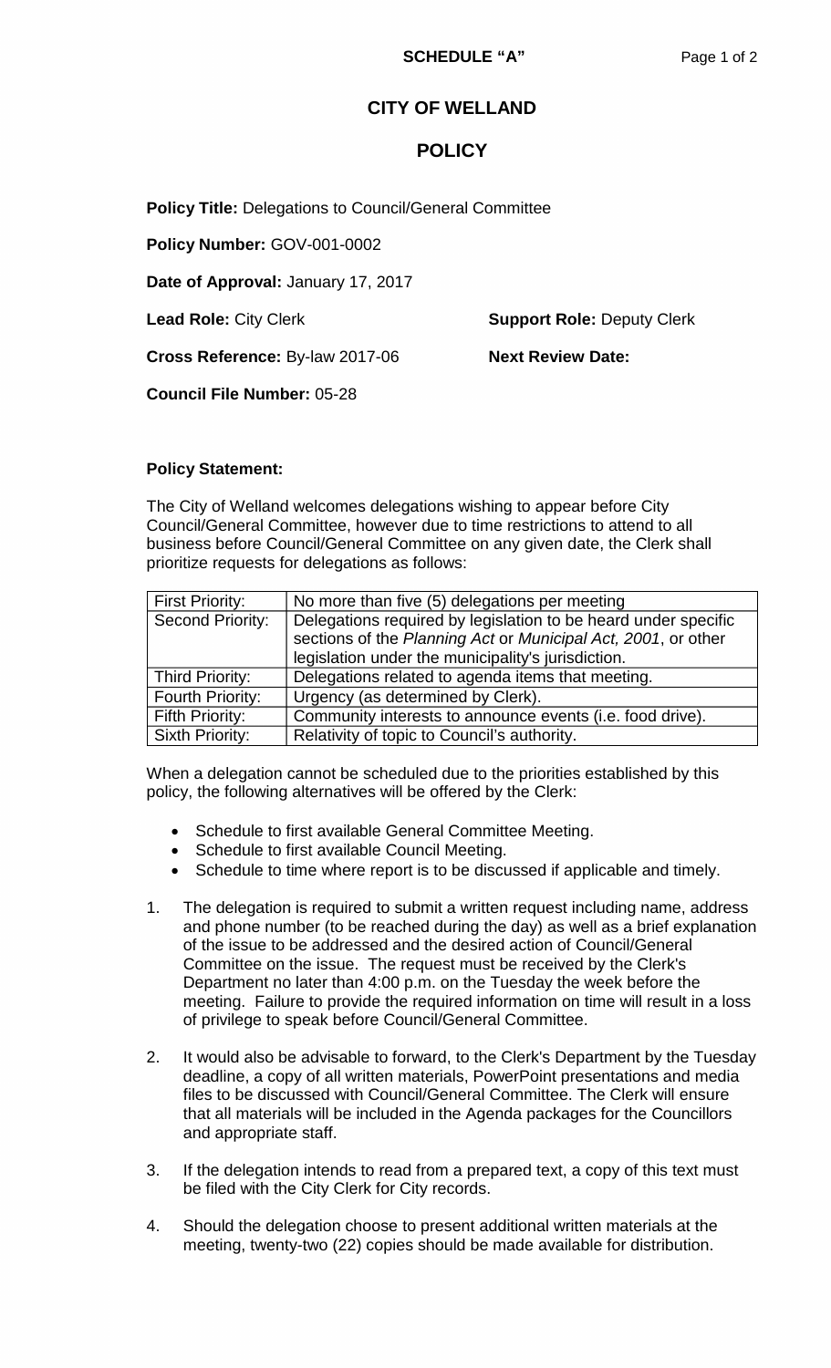# **CITY OF WELLAND**

# **POLICY**

**Policy Title:** Delegations to Council/General Committee

**Policy Number:** GOV-001-0002

**Date of Approval:** January 17, 2017

**Lead Role:** City Clerk **Support Role:** Deputy Clerk

**Cross Reference: By-law 2017-06 Mext Review Date:** 

**Council File Number:** 05-28

### **Policy Statement:**

The City of Welland welcomes delegations wishing to appear before City Council/General Committee, however due to time restrictions to attend to all business before Council/General Committee on any given date, the Clerk shall prioritize requests for delegations as follows:

| <b>First Priority:</b>  | No more than five (5) delegations per meeting                                                                                                                                         |  |  |
|-------------------------|---------------------------------------------------------------------------------------------------------------------------------------------------------------------------------------|--|--|
| <b>Second Priority:</b> | Delegations required by legislation to be heard under specific<br>sections of the Planning Act or Municipal Act, 2001, or other<br>legislation under the municipality's jurisdiction. |  |  |
| Third Priority:         | Delegations related to agenda items that meeting.                                                                                                                                     |  |  |
| Fourth Priority:        | Urgency (as determined by Clerk).                                                                                                                                                     |  |  |
| Fifth Priority:         | Community interests to announce events (i.e. food drive).                                                                                                                             |  |  |
| Sixth Priority:         | Relativity of topic to Council's authority.                                                                                                                                           |  |  |

When a delegation cannot be scheduled due to the priorities established by this policy, the following alternatives will be offered by the Clerk:

- Schedule to first available General Committee Meeting.
- Schedule to first available Council Meeting.
- Schedule to time where report is to be discussed if applicable and timely.
- 1. The delegation is required to submit a written request including name, address and phone number (to be reached during the day) as well as a brief explanation of the issue to be addressed and the desired action of Council/General Committee on the issue. The request must be received by the Clerk's Department no later than 4:00 p.m. on the Tuesday the week before the meeting. Failure to provide the required information on time will result in a loss of privilege to speak before Council/General Committee.
- 2. It would also be advisable to forward, to the Clerk's Department by the Tuesday deadline, a copy of all written materials, PowerPoint presentations and media files to be discussed with Council/General Committee. The Clerk will ensure that all materials will be included in the Agenda packages for the Councillors and appropriate staff.
- 3. If the delegation intends to read from a prepared text, a copy of this text must be filed with the City Clerk for City records.
- 4. Should the delegation choose to present additional written materials at the meeting, twenty-two (22) copies should be made available for distribution.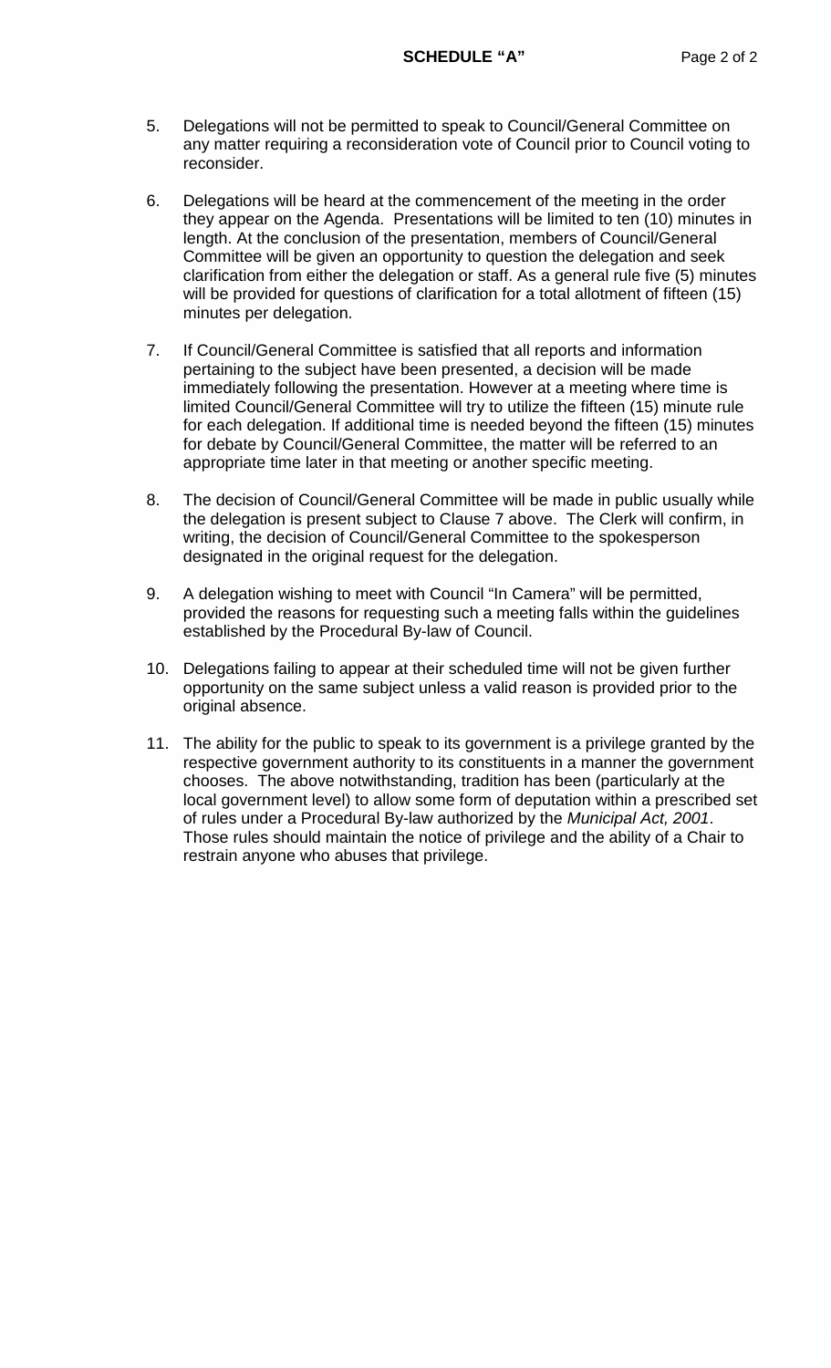- 5. Delegations will not be permitted to speak to Council/General Committee on any matter requiring a reconsideration vote of Council prior to Council voting to reconsider.
- 6. Delegations will be heard at the commencement of the meeting in the order they appear on the Agenda. Presentations will be limited to ten (10) minutes in length. At the conclusion of the presentation, members of Council/General Committee will be given an opportunity to question the delegation and seek clarification from either the delegation or staff. As a general rule five (5) minutes will be provided for questions of clarification for a total allotment of fifteen (15) minutes per delegation.
- 7. If Council/General Committee is satisfied that all reports and information pertaining to the subject have been presented, a decision will be made immediately following the presentation. However at a meeting where time is limited Council/General Committee will try to utilize the fifteen (15) minute rule for each delegation. If additional time is needed beyond the fifteen (15) minutes for debate by Council/General Committee, the matter will be referred to an appropriate time later in that meeting or another specific meeting.
- 8. The decision of Council/General Committee will be made in public usually while the delegation is present subject to Clause 7 above. The Clerk will confirm, in writing, the decision of Council/General Committee to the spokesperson designated in the original request for the delegation.
- 9. A delegation wishing to meet with Council "In Camera" will be permitted, provided the reasons for requesting such a meeting falls within the guidelines established by the Procedural By-law of Council.
- 10. Delegations failing to appear at their scheduled time will not be given further opportunity on the same subject unless a valid reason is provided prior to the original absence.
- 11. The ability for the public to speak to its government is a privilege granted by the respective government authority to its constituents in a manner the government chooses. The above notwithstanding, tradition has been (particularly at the local government level) to allow some form of deputation within a prescribed set of rules under a Procedural By-law authorized by the *Municipal Act, 2001*. Those rules should maintain the notice of privilege and the ability of a Chair to restrain anyone who abuses that privilege.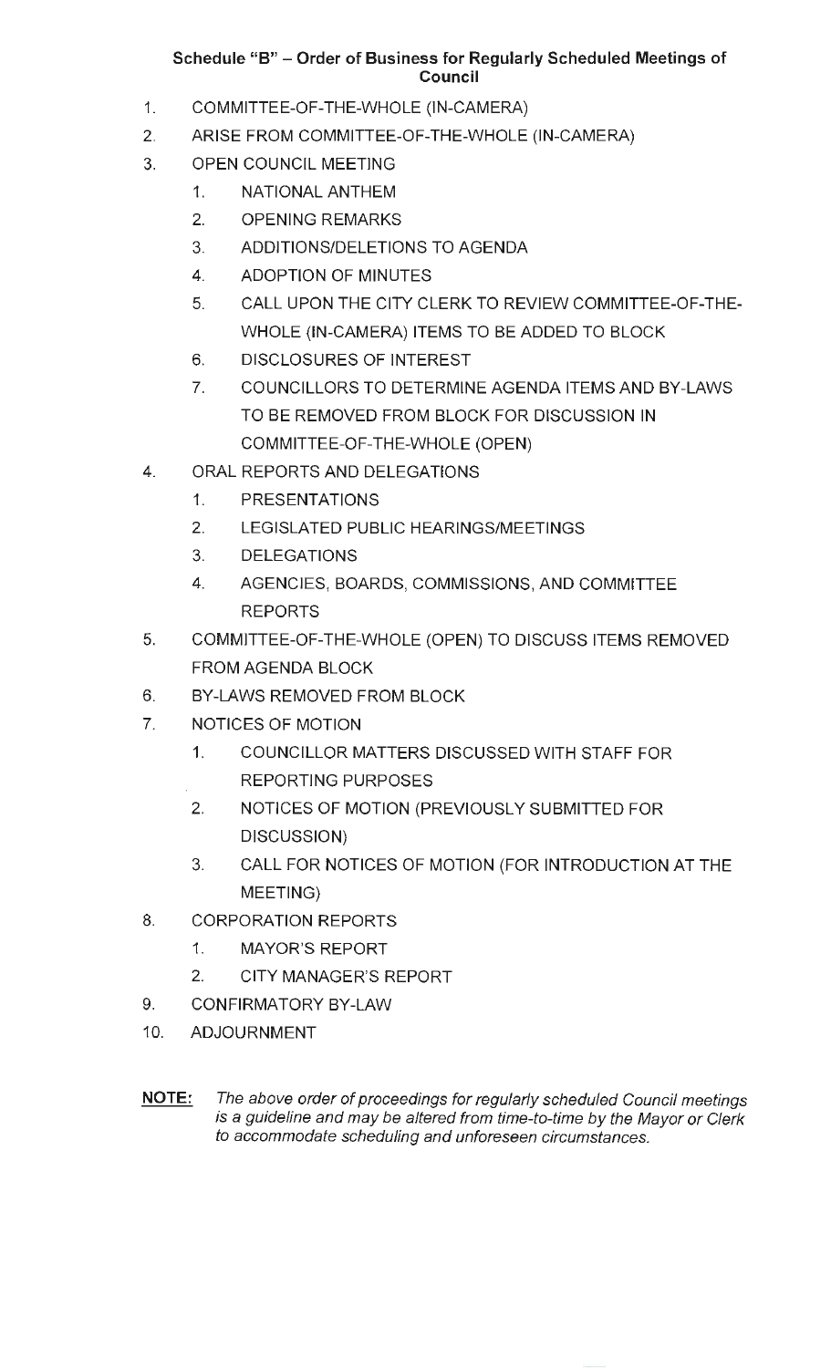# **Schedule "B" - Order of Business for Regularly Scheduled Meetings of Council**

- 1. COMMITTEE-OF-THE-WHOLE (IN-CAMERA)
- 2. ARISE FROM COMMITTEE-OF-THE-WHOLE (IN-CAMERA)
- 3. OPEN COUNCIL MEETING
	- 1. NATIONAL ANTHEM
	- 2. OPENING REMARKS
	- 3. ADDITIONS/DELETIONS TO AGENDA
	- 4. ADOPTION OF MINUTES
	- 5. CALL UPON THE CITY CLERK TO REVIEW COMMITTEE-OF-THE-WHOLE (IN-CAMERA) ITEMS TO BE ADDED TO BLOCK
	- 6. DISCLOSURES OF INTEREST
	- 7. COUNCILLORS TO DETERMINE AGENDA ITEMS AND BY-LAWS TO BE REMOVED FROM BLOCK FOR DISCUSSION IN COMMITTEE-OF-THE-WHOLE (OPEN)
- 4. ORAL REPORTS AND DELEGATIONS
	- 1. PRESENTATIONS
	- 2. LEGISLATED PUBLIC HEARINGS/MEETINGS
	- 3. DELEGATIONS
	- 4. AGENCIES, BOARDS, COMMISSIONS, AND COMMITTEE REPORTS
- 5. COMMITTEE-OF-THE-WHOLE (OPEN) TO DISCUSS ITEMS REMOVED FROM AGENDA BLOCK
- 6. BY-LAWS REMOVED FROM BLOCK
- 7. NOTICES OF MOTION
	- 1. COUNCILLOR MATTERS DISCUSSED WITH STAFF FOR REPORTING PURPOSES
	- 2. NOTICES OF MOTION (PREVIOUSLY SUBMITTED FOR DISCUSSION)
	- 3. CALL FOR NOTICES OF MOTION (FOR INTRODUCTION AT THE MEETING)
- 8. CORPORATION REPORTS
	- 1. MAYOR'S REPORT
	- 2. CITY MANAGER'S REPORT
- 9. CONFIRMATORY BY-LAW
- 10. ADJOURNMENT

NOTE: The above order of proceedings for regularly scheduled Council meetings is a guideline and may be altered from time-to-time by the Mayor or Clerk to accommodate scheduling and unforeseen circumstances.